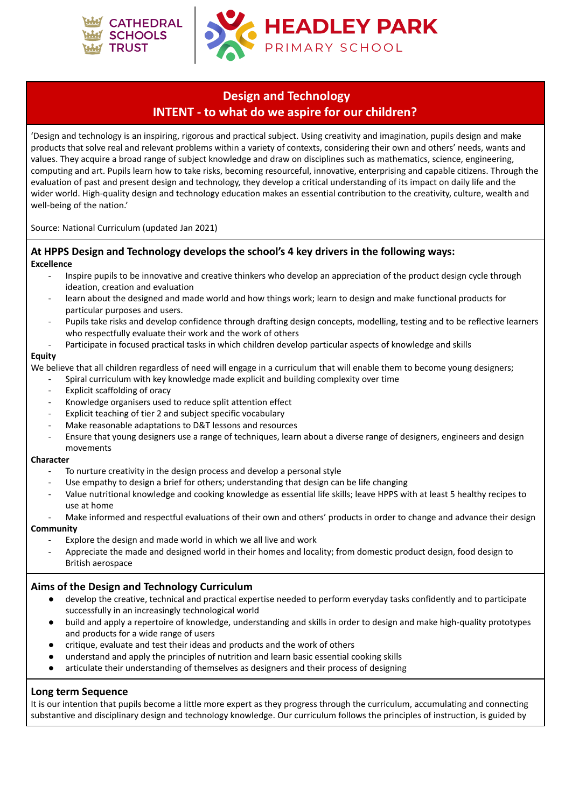



## **Design and Technology INTENT - to what do we aspire for our children?**

'Design and technology is an inspiring, rigorous and practical subject. Using creativity and imagination, pupils design and make products that solve real and relevant problems within a variety of contexts, considering their own and others' needs, wants and values. They acquire a broad range of subject knowledge and draw on disciplines such as mathematics, science, engineering, computing and art. Pupils learn how to take risks, becoming resourceful, innovative, enterprising and capable citizens. Through the evaluation of past and present design and technology, they develop a critical understanding of its impact on daily life and the wider world. High-quality design and technology education makes an essential contribution to the creativity, culture, wealth and well-being of the nation.'

Source: National Curriculum (updated Jan 2021)

### **At HPPS Design and Technology develops the school's 4 key drivers in the following ways: Excellence**

- Inspire pupils to be innovative and creative thinkers who develop an appreciation of the product design cycle through ideation, creation and evaluation
- learn about the designed and made world and how things work; learn to design and make functional products for particular purposes and users.
- Pupils take risks and develop confidence through drafting design concepts, modelling, testing and to be reflective learners who respectfully evaluate their work and the work of others
- Participate in focused practical tasks in which children develop particular aspects of knowledge and skills

#### **Equity**

We believe that all children regardless of need will engage in a curriculum that will enable them to become young designers;

- Spiral curriculum with key knowledge made explicit and building complexity over time
- Explicit scaffolding of oracy
- Knowledge organisers used to reduce split attention effect
- Explicit teaching of tier 2 and subject specific vocabulary
- Make reasonable adaptations to D&T lessons and resources
- Ensure that young designers use a range of techniques, learn about a diverse range of designers, engineers and design movements

#### **Character**

- To nurture creativity in the design process and develop a personal style
- Use empathy to design a brief for others; understanding that design can be life changing
- Value nutritional knowledge and cooking knowledge as essential life skills; leave HPPS with at least 5 healthy recipes to use at home
- Make informed and respectful evaluations of their own and others' products in order to change and advance their design

#### **Community**

- Explore the design and made world in which we all live and work
- Appreciate the made and designed world in their homes and locality; from domestic product design, food design to British aerospace

## **Aims of the Design and Technology Curriculum**

- develop the creative, technical and practical expertise needed to perform everyday tasks confidently and to participate successfully in an increasingly technological world
- build and apply a repertoire of knowledge, understanding and skills in order to design and make high-quality prototypes and products for a wide range of users
- critique, evaluate and test their ideas and products and the work of others
- understand and apply the principles of nutrition and learn basic essential cooking skills
- articulate their understanding of themselves as designers and their process of designing

## **Long term Sequence**

It is our intention that pupils become a little more expert as they progress through the curriculum, accumulating and connecting substantive and disciplinary design and technology knowledge. Our curriculum follows the principles of instruction, is guided by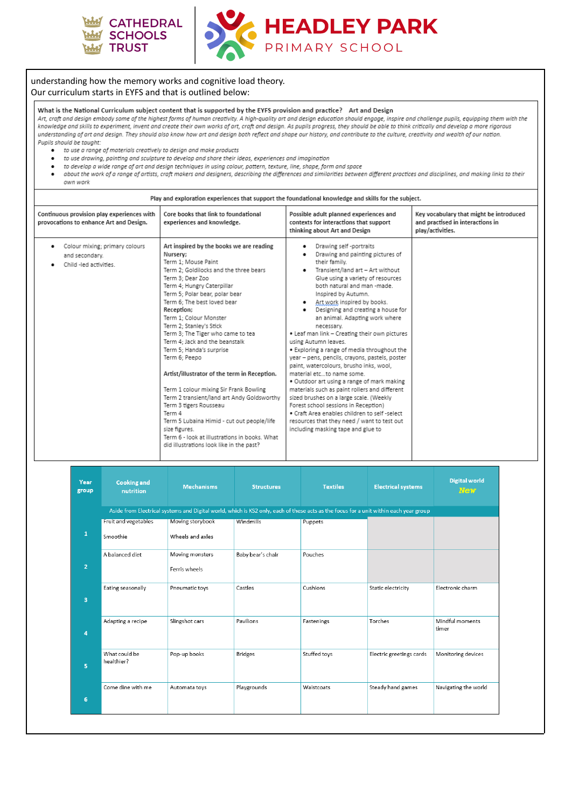



#### understanding how the memory works and cognitive load theory. Our curriculum starts in EYFS and that is outlined below:

#### What is the National Curriculum subject content that is supported by the EYFS provision and practice? Art and Design

Art, craft and design embody some of the highest forms of human creativity. A high-quality art and design education should engage, inspire and challenge pupils, equipping them with the knowledge and skills to experiment, invent and create their own works of art, craft and design. As pupils progress, they should be able to think critically and develop a more rigorous understanding of art and design. They should also know how art and design both reflect and shape our history, and contribute to the culture, creativity and wealth of our nation. Pupils should be taught:

- to use a range of materials creatively to design and make products
	- to use drawing, painting and sculpture to develop and share their ideas, experiences and imagination
- to develop a wide range of art and design techniques in using colour, pattern, texture, line, shape, form and space  $\bullet$
- about the work of a range of artists, craft makers and designers, describing the differences and similarities between different practices and disciplines, and making links to their  $\bullet$ own work

| Play and exploration experiences that support the foundational knowledge and skills for the subject. |                                                                                                                                                                                                                                                                                                                                                                                                                                                                                                                                                                                                                                                                                                                                                                         |                                                                                                                                                                                                                                                                                                                                                                                                                                                                                                                                                                                                                                                                                                                                                                                                                                                                                                                                                 |                                                                                                 |  |  |  |  |
|------------------------------------------------------------------------------------------------------|-------------------------------------------------------------------------------------------------------------------------------------------------------------------------------------------------------------------------------------------------------------------------------------------------------------------------------------------------------------------------------------------------------------------------------------------------------------------------------------------------------------------------------------------------------------------------------------------------------------------------------------------------------------------------------------------------------------------------------------------------------------------------|-------------------------------------------------------------------------------------------------------------------------------------------------------------------------------------------------------------------------------------------------------------------------------------------------------------------------------------------------------------------------------------------------------------------------------------------------------------------------------------------------------------------------------------------------------------------------------------------------------------------------------------------------------------------------------------------------------------------------------------------------------------------------------------------------------------------------------------------------------------------------------------------------------------------------------------------------|-------------------------------------------------------------------------------------------------|--|--|--|--|
| Continuous provision play experiences with<br>provocations to enhance Art and Design.                | Core books that link to foundational<br>experiences and knowledge.                                                                                                                                                                                                                                                                                                                                                                                                                                                                                                                                                                                                                                                                                                      | Possible adult planned experiences and<br>contexts for interactions that support<br>thinking about Art and Design                                                                                                                                                                                                                                                                                                                                                                                                                                                                                                                                                                                                                                                                                                                                                                                                                               | Key vocabulary that might be introduced<br>and practised in interactions in<br>play/activities. |  |  |  |  |
| Colour mixing; primary colours<br>٠<br>and secondary.<br>Child-led activities.                       | Art inspired by the books we are reading<br>Nursery:<br>Term 1: Mouse Paint<br>Term 2: Goldilocks and the three bears<br>Term 3: Dear Zoo<br>Term 4: Hungry Caterpillar<br>Term 5; Polar bear, polar bear<br>Term 6: The best loved bear<br>Reception;<br>Term 1: Colour Monster<br>Term 2; Stanley's Stick<br>Term 3; The Tiger who came to tea<br>Term 4: Jack and the beanstalk<br>Term 5: Handa's surprise<br>Term 6: Peepo<br>Artist/illustrator of the term in Reception.<br>Term 1 colour mixing Sir Frank Bowling<br>Term 2 transient/land art Andy Goldsworthy<br>Term 3 tigers Rousseau<br>Term 4<br>Term 5 Lubaina Himid - cut out people/life<br>size figures.<br>Term 6 - look at illustrations in books. What<br>did illustrations look like in the past? | Drawing self -portraits<br>٠<br>Drawing and painting pictures of<br>٠<br>their family.<br>Transient/land art - Art without<br>$\bullet$<br>Glue using a variety of resources<br>both natural and man -made.<br>Inspired by Autumn.<br>• Art work inspired by books.<br>Designing and creating a house for<br>$\bullet$<br>an animal. Adapting work where<br>necessary.<br>• Leaf man link - Creating their own pictures<br>using Autumn leaves.<br>. Exploring a range of media throughout the<br>year - pens, pencils, crayons, pastels, poster<br>paint, watercolours, brusho inks, wool,<br>material etcto name some.<br>. Outdoor art using a range of mark making<br>materials such as paint rollers and different<br>sized brushes on a large scale. (Weekly<br>Forest school sessions in Reception)<br>. Craft Area enables children to self-select<br>resources that they need / want to test out<br>including masking tape and glue to |                                                                                                 |  |  |  |  |

| Year<br>group  | <b>Cooking and</b><br>nutrition | <b>Mechanisms</b> | <b>Structures</b> | <b>Textiles</b> | <b>Electrical systems</b>                                                                                                             | <b>Digital world</b><br><b>New</b> |
|----------------|---------------------------------|-------------------|-------------------|-----------------|---------------------------------------------------------------------------------------------------------------------------------------|------------------------------------|
|                |                                 |                   |                   |                 | Aside from Electrical systems and Digital world, which is KS2 only, each of these acts as the focus for a unit within each year group |                                    |
|                | Fruit and vegetables            | Moving storybook  | Windmills         | Puppets         |                                                                                                                                       |                                    |
| $\mathbf{1}$   | Smoothie                        | Wheels and axles  |                   |                 |                                                                                                                                       |                                    |
|                | A balanced diet                 | Moving monsters   | Baby bear's chair | Pouches         |                                                                                                                                       |                                    |
| $\overline{2}$ |                                 | Ferris wheels     |                   |                 |                                                                                                                                       |                                    |
|                | Eating seasonally               | Pneumatic toys    | Castles           | Cushions        | Static electricity                                                                                                                    | Electronic charm                   |
| 3              |                                 |                   |                   |                 |                                                                                                                                       |                                    |
|                | Adapting a recipe               | Slingshot cars    | Pavilions         | Fastenings      | Torches                                                                                                                               | Mindful moments                    |
| 4              |                                 |                   |                   |                 |                                                                                                                                       | timer                              |
|                | What could be                   | Pop-up books      | <b>Bridges</b>    | Stuffed toys    | Electric greetings cards                                                                                                              | Monitoring devices                 |
| 5              | healthier?                      |                   |                   |                 |                                                                                                                                       |                                    |
|                | Come dine with me               | Automata toys     | Playgrounds       | Waistcoats      | Steady hand games                                                                                                                     | Navigating the world               |
| $\bf 6$        |                                 |                   |                   |                 |                                                                                                                                       |                                    |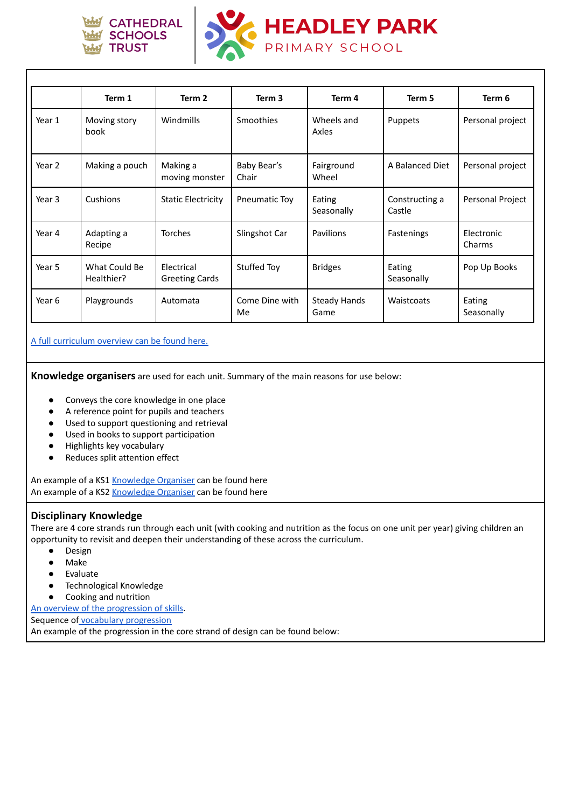



|        | Term 1                      | Term 2                              | Term 3               | Term 4                      | Term 5                   | Term 6               |
|--------|-----------------------------|-------------------------------------|----------------------|-----------------------------|--------------------------|----------------------|
| Year 1 | Moving story<br>book        | Windmills                           | Smoothies            | Wheels and<br>Axles         | Puppets                  | Personal project     |
| Year 2 | Making a pouch              | Making a<br>moving monster          | Baby Bear's<br>Chair | Fairground<br>Wheel         | A Balanced Diet          | Personal project     |
| Year 3 | Cushions                    | <b>Static Electricity</b>           | <b>Pneumatic Toy</b> | Eating<br>Seasonally        | Constructing a<br>Castle | Personal Project     |
| Year 4 | Adapting a<br>Recipe        | <b>Torches</b>                      | Slingshot Car        | Pavilions                   | <b>Fastenings</b>        | Electronic<br>Charms |
| Year 5 | What Could Be<br>Healthier? | Electrical<br><b>Greeting Cards</b> | Stuffed Toy          | <b>Bridges</b>              | Eating<br>Seasonally     | Pop Up Books         |
| Year 6 | Playgrounds                 | Automata                            | Come Dine with<br>Me | <b>Steady Hands</b><br>Game | Waistcoats               | Eating<br>Seasonally |

A full [curriculum](https://drive.google.com/file/d/1F27VaAti_oPq6jNGfHjAYDkGeCf8flPY/view?usp=sharing) overview can be found here.

**Knowledge organisers** are used for each unit. Summary of the main reasons for use below:

- Conveys the core knowledge in one place
- A reference point for pupils and teachers
- Used to support questioning and retrieval
- Used in books to support participation
- Highlights key vocabulary
- Reduces split attention effect

An example of a KS1 [Knowledge](https://drive.google.com/file/d/1i3L3ik65_cwWSf4nyl22LpSQKrMKJmf9/view?usp=sharing) Organiser can be found here An example of a KS2 [Knowledge](https://drive.google.com/file/d/1QDO1dpFJ3ODIYOaXT23OthYVJEU_2C0m/view?usp=sharing) Organiser can be found here

## **Disciplinary Knowledge**

There are 4 core strands run through each unit (with cooking and nutrition as the focus on one unit per year) giving children an opportunity to revisit and deepen their understanding of these across the curriculum.

- Design
- Make
- Evaluate
- Technological Knowledge
- Cooking and nutrition

An overview of the [progression](https://drive.google.com/file/d/1u3YxgF39f9jWZIX9Zo2KZKXmz3or6dsl/view?usp=sharing) of skills.

Sequence of vocabulary [progression](https://drive.google.com/file/d/1uVn5kkGR7nXSDC09nymdlSJZPD5oCD_D/view?usp=sharing)

An example of the progression in the core strand of design can be found below: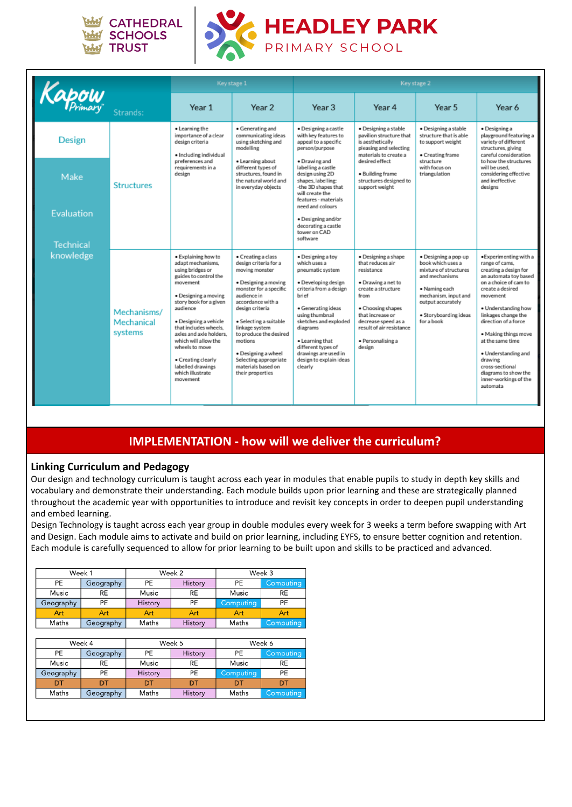



|                               |                                      | Key stage 1                                                                                                                                                                                                                                                                                                                                                       |                                                                                                                                                                                                                                                                                                                                                   | Key stage 2                                                                                                                                                                                                                                                                                          |                                                                                                                                                                                                                                      |                                                                                                                                                                                           |                                                                                                                                                                                                                                                                                                                                                                                         |
|-------------------------------|--------------------------------------|-------------------------------------------------------------------------------------------------------------------------------------------------------------------------------------------------------------------------------------------------------------------------------------------------------------------------------------------------------------------|---------------------------------------------------------------------------------------------------------------------------------------------------------------------------------------------------------------------------------------------------------------------------------------------------------------------------------------------------|------------------------------------------------------------------------------------------------------------------------------------------------------------------------------------------------------------------------------------------------------------------------------------------------------|--------------------------------------------------------------------------------------------------------------------------------------------------------------------------------------------------------------------------------------|-------------------------------------------------------------------------------------------------------------------------------------------------------------------------------------------|-----------------------------------------------------------------------------------------------------------------------------------------------------------------------------------------------------------------------------------------------------------------------------------------------------------------------------------------------------------------------------------------|
| Kapow                         | Strands:                             | Year 1                                                                                                                                                                                                                                                                                                                                                            | Year 2                                                                                                                                                                                                                                                                                                                                            | Year 3                                                                                                                                                                                                                                                                                               | Year 4                                                                                                                                                                                                                               | Year 5                                                                                                                                                                                    | Year 6                                                                                                                                                                                                                                                                                                                                                                                  |
| Design                        | <b>Structures</b>                    | • Learning the<br>importance of a clear<br>design criteria<br>· Including individual                                                                                                                                                                                                                                                                              | • Generating and<br>communicating ideas<br>using sketching and<br>modelling                                                                                                                                                                                                                                                                       | · Designing a castle<br>with key features to<br>appeal to a specific<br>person/purpose                                                                                                                                                                                                               | · Designing a stable<br>pavilion structure that<br>is aesthetically<br>pleasing and selecting<br>materials to create a                                                                                                               | · Designing a stable<br>structure that is able<br>to support weight<br>• Creating frame                                                                                                   | · Designing a<br>playground featuring a<br>variety of different<br>structures, giving<br>careful consideration                                                                                                                                                                                                                                                                          |
| Make                          |                                      | preferences and<br>requirements in a<br>design                                                                                                                                                                                                                                                                                                                    | · Learning about<br>different types of<br>structures, found in<br>the natural world and<br>in everyday objects                                                                                                                                                                                                                                    | · Drawing and<br>labelling a castle<br>design using 2D<br>shapes, labelling:<br>-the 3D shapes that<br>will create the<br>features - materials<br>need and colours                                                                                                                                   | desired effect<br>· Building frame<br>structures designed to<br>support weight                                                                                                                                                       | structure<br>with focus on<br>triangulation                                                                                                                                               | to how the structures<br>will be used.<br>considering effective<br>and ineffective<br>designs                                                                                                                                                                                                                                                                                           |
| <b>Evaluation</b>             |                                      |                                                                                                                                                                                                                                                                                                                                                                   |                                                                                                                                                                                                                                                                                                                                                   | · Designing and/or<br>decorating a castle<br>tower on CAD<br>software                                                                                                                                                                                                                                |                                                                                                                                                                                                                                      |                                                                                                                                                                                           |                                                                                                                                                                                                                                                                                                                                                                                         |
| <b>Technical</b><br>knowledge | Mechanisms/<br>Mechanical<br>systems | · Explaining how to<br>adapt mechanisms,<br>using bridges or<br>guides to control the<br>movement<br>· Designing a moving<br>story book for a given<br>audience<br>· Designing a vehicle<br>that includes wheels.<br>axles and axle holders.<br>which will allow the<br>wheels to move<br>• Creating clearly<br>labelled drawings<br>which illustrate<br>movement | • Creating a class<br>design criteria for a<br>moving monster<br>· Designing a moving<br>monster for a specific<br>audience in<br>accordance with a<br>design criteria<br>· Selecting a suitable<br>linkage system<br>to produce the desired<br>motions<br>· Designing a wheel<br>Selecting appropriate<br>materials based on<br>their properties | · Designing a toy<br>which uses a<br>pneumatic system<br>· Developing design<br>criteria from a design<br>brief<br>· Generating ideas<br>using thumbnail<br>sketches and exploded<br>diagrams<br>. Learning that<br>different types of<br>drawings are used in<br>design to explain ideas<br>clearly | · Designing a shape<br>that reduces air<br>resistance<br>· Drawing a net to<br>create a structure<br>from<br>• Choosing shapes<br>that increase or<br>decrease speed as a<br>result of air resistance<br>· Personalising a<br>design | · Designing a pop-up<br>book which uses a<br>mixture of structures<br>and mechanisms<br>• Naming each<br>mechanism, input and<br>output accurately<br>· Storyboarding ideas<br>for a book | · Experimenting with a<br>range of cams,<br>creating a design for<br>an automata toy based<br>on a choice of cam to<br>create a desired<br>movement<br>· Understanding how<br>linkages change the<br>direction of a force<br>• Making things move<br>at the same time<br>· Understanding and<br>drawing<br>cross-sectional<br>diagrams to show the<br>inner-workings of the<br>automata |

# **IMPLEMENTATION - how will we deliver the curriculum?**

## **Linking Curriculum and Pedagogy**

Our design and technology curriculum is taught across each year in modules that enable pupils to study in depth key skills and vocabulary and demonstrate their understanding. Each module builds upon prior learning and these are strategically planned throughout the academic year with opportunities to introduce and revisit key concepts in order to deepen pupil understanding and embed learning.

Design Technology is taught across each year group in double modules every week for 3 weeks a term before swapping with Art and Design. Each module aims to activate and build on prior learning, including EYFS, to ensure better cognition and retention. Each module is carefully sequenced to allow for prior learning to be built upon and skills to be practiced and advanced.

| Week 1    |           |         | Week 2    | Week 3    |                  |  |
|-----------|-----------|---------|-----------|-----------|------------------|--|
| PE        | Geography | PE      | History   | PE        | Computing        |  |
| Music     | RE        | Music   | <b>RE</b> | Music     | <b>RE</b>        |  |
| Geography | PE        | History | PE        | Computing | PE               |  |
| Art       | Art       | Art     | Art       | Art       | Art              |  |
| Maths     | Geography | Maths   | History   | Maths     | <b>Computing</b> |  |

| Week 4    |           |         | Week 5    | Week 6    |                  |  |
|-----------|-----------|---------|-----------|-----------|------------------|--|
| PE        | Geography | PE      |           | PE        | <b>Computing</b> |  |
| Music     | RE        | Music   | <b>RE</b> | Music     | <b>RE</b>        |  |
| Geography | PE        | History | PE        | Computing | PE               |  |
| דכו       | DT        | DT      | דמ        | דמ        |                  |  |
| Maths     | Geography | Maths   | History   | Maths     | Computing        |  |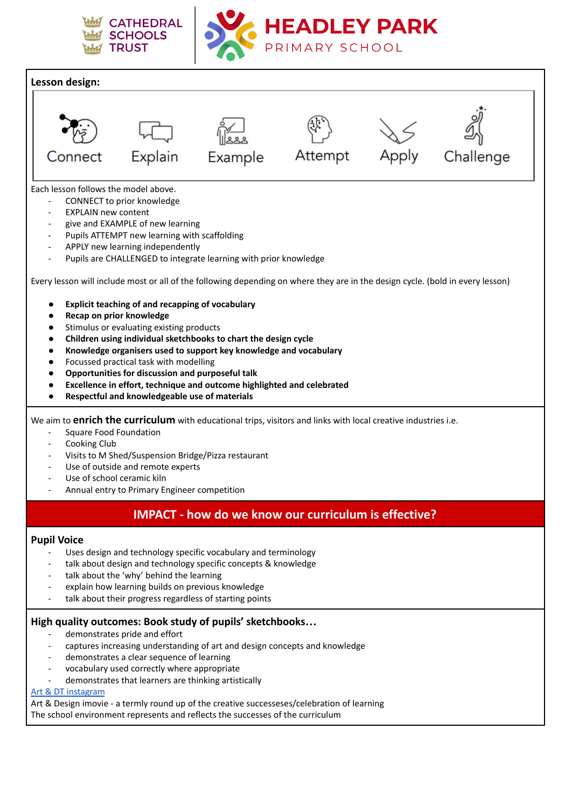



**HEADLEY PARK** 

PRIMARY SCHOOL

## **High quality outcomes: Book study of pupils' sketchbooks…**

- demonstrates pride and effort
- captures increasing understanding of art and design concepts and knowledge
- demonstrates a clear sequence of learning
- vocabulary used correctly where appropriate
- demonstrates that learners are thinking artistically

## Art & DT [instagram](https://www.instagram.com/headleyparkart/?hl=en-gb)

Art & Design imovie - a termly round up of the creative successeses/celebration of learning

The school environment represents and reflects the successes of the curriculum